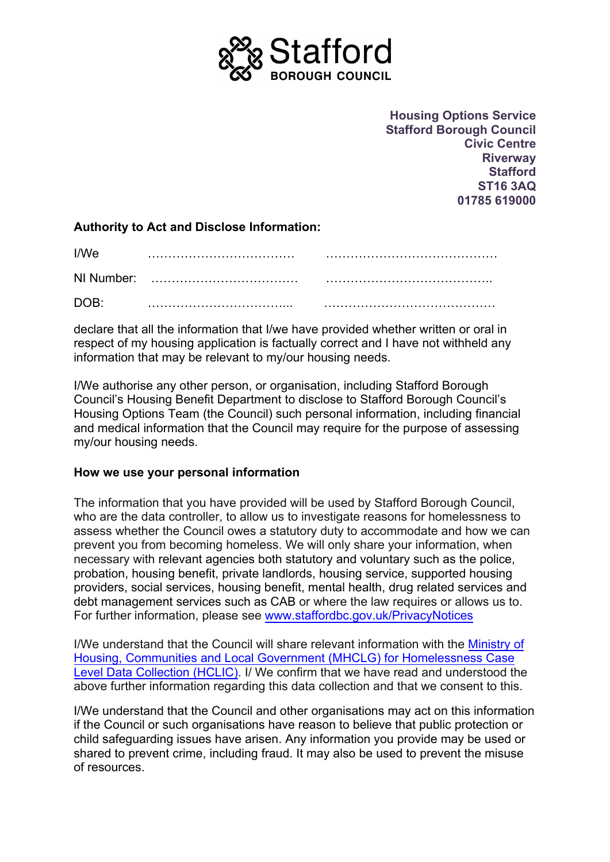

**Housing Options Service Stafford Borough Council Civic Centre Riverway Stafford ST16 3AQ 01785 619000**

## **Authority to Act and Disclose Information:**

| I/We |  |
|------|--|
|      |  |
| DOB: |  |

declare that all the information that I/we have provided whether written or oral in respect of my housing application is factually correct and I have not withheld any information that may be relevant to my/our housing needs.

I/We authorise any other person, or organisation, including Stafford Borough Council's Housing Benefit Department to disclose to Stafford Borough Council's Housing Options Team (the Council) such personal information, including financial and medical information that the Council may require for the purpose of assessing my/our housing needs.

## **How we use your personal information**

The information that you have provided will be used by Stafford Borough Council, who are the data controller, to allow us to investigate reasons for homelessness to assess whether the Council owes a statutory duty to accommodate and how we can prevent you from becoming homeless. We will only share your information, when necessary with relevant agencies both statutory and voluntary such as the police, probation, housing benefit, private landlords, housing service, supported housing providers, social services, housing benefit, mental health, drug related services and debt management services such as CAB or where the law requires or allows us to. For further information, please see [www.staffordbc.gov.uk/PrivacyNotices](http://www.staffordbc.gov.uk/PrivacyNotices)

I/We understand that the Council will share relevant information with the [Ministry of](https://www.gov.uk/government/publications/privacy-notices-for-mhclg-homelessness-research/mhclg-privacy-notice-for-the-homelessness-data-england-project-hde%20-)  Housing, Communities [and Local Government \(MHCLG\) for Homelessness Case](https://www.gov.uk/government/publications/privacy-notices-for-mhclg-homelessness-research/mhclg-privacy-notice-for-the-homelessness-data-england-project-hde%20-)  [Level Data Collection \(HCLIC\).](https://www.gov.uk/government/publications/privacy-notices-for-mhclg-homelessness-research/mhclg-privacy-notice-for-the-homelessness-data-england-project-hde%20-) I/ We confirm that we have read and understood the above further information regarding this data collection and that we consent to this.

I/We understand that the Council and other organisations may act on this information if the Council or such organisations have reason to believe that public protection or child safeguarding issues have arisen. Any information you provide may be used or shared to prevent crime, including fraud. It may also be used to prevent the misuse of resources.